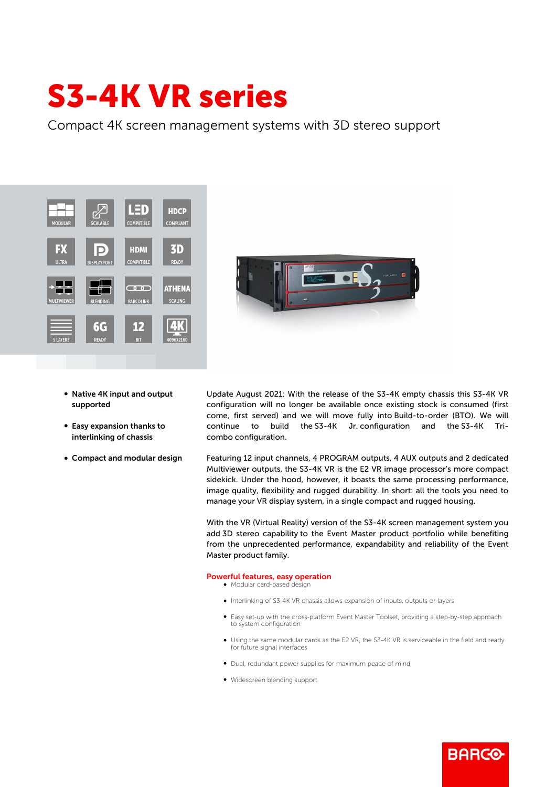## S3-4K VR series

Compact 4K screen management systems with 3D stereo support





- Native 4K input and output supported
- Easy expansion thanks to interlinking of chassis
- Compact and modular design

Update August 2021: With the release of the S3-4K empty chassis this S3-4K VR configuration will no longer be available once existing stock is consumed (first come, first served) and we will move fully into Build-to-order (BTO). We will continue to build the S3-4K Jr. configuration and the S3-4K Tricombo configuration.

Featuring 12 input channels, 4 PROGRAM outputs, 4 AUX outputs and 2 dedicated Multiviewer outputs, the S3-4K VR is the E2 VR image processor's more compact sidekick. Under the hood, however, it boasts the same processing performance, image quality, flexibility and rugged durability. In short: all the tools you need to manage your VR display system, in a single compact and rugged housing.

With the VR (Virtual Reality) version of the S3-4K screen management system you add 3D stereo capability to the Event Master product portfolio while benefiting from the unprecedented performance, expandability and reliability of the Event Master product family.

## Powerful features, easy operation

 $\bullet$  Modular card-based design

- b Interlinking of S3-4K VR chassis allows expansion of inputs, outputs or layers
- Easy set-up with the cross-platform Event Master Toolset, providing a step-by-step approach to system configuration
- Using the same modular cards as the E2 VR, the S3-4K VR is serviceable in the field and ready for future signal interfaces

**BARGO** 

- Dual, redundant power supplies for maximum peace of mind
- Widescreen blending support